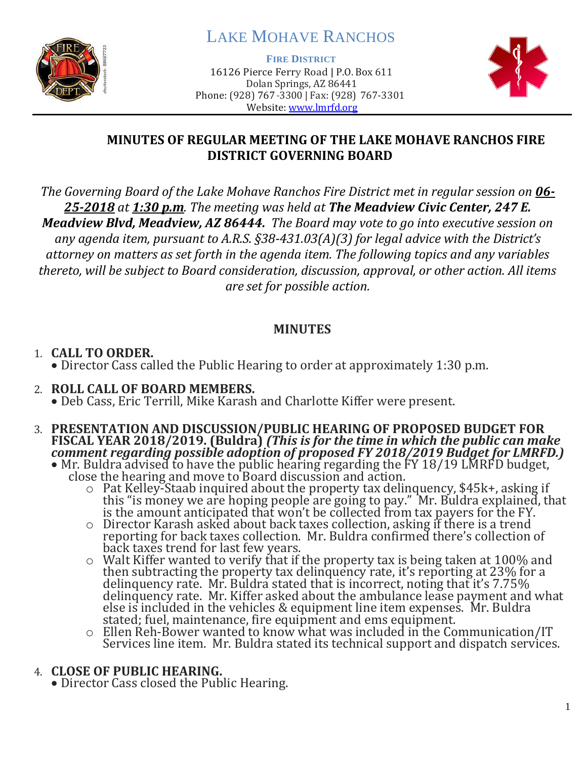

# LAKE MOHAVE RANCHOS

**FIRE DISTRICT**

16126 Pierce Ferry Road | P.O. Box 611 Dolan Springs, AZ 86441 Phone: (928) 767-3300 | Fax: (928) 767-3301 Website: [www.lmrfd.org](http://www.lmrfd.org/)



## **MINUTES OF REGULAR MEETING OF THE LAKE MOHAVE RANCHOS FIRE DISTRICT GOVERNING BOARD**

*The Governing Board of the Lake Mohave Ranchos Fire District met in regular session on 06- 25-2018 at 1:30 p.m. The meeting was held at The Meadview Civic Center, 247 E. Meadview Blvd, Meadview, AZ 86444. The Board may vote to go into executive session on any agenda item, pursuant to A.R.S. §38-431.03(A)(3) for legal advice with the District's attorney on matters as set forth in the agenda item. The following topics and any variables thereto, will be subject to Board consideration, discussion, approval, or other action. All items are set for possible action.*

## **MINUTES**

## 1. **CALL TO ORDER.**

• Director Cass called the Public Hearing to order at approximately 1:30 p.m.

### 2. **ROLL CALL OF BOARD MEMBERS.** • Deb Cass, Eric Terrill, Mike Karash and Charlotte Kiffer were present.

- 3. **PRESENTATION AND DISCUSSION/PUBLIC HEARING OF PROPOSED BUDGET FOR FISCAL YEAR 2018/2019. (Buldra)** *(This is for the time in which the public can make comment regarding possible adoption of proposed FY 2018/2019 Budget for LMRFD.)*
	- Mr. Buldra advised to have the public hearing regarding the FY 18/19 LMRFD budget, close the hearing and move to Board discussion and action.
		- o Pat Kelley-Staab inquired about the property tax delinquency, \$45k+, asking if this "is money we are hoping people are going to pay." Mr. Buldra explained, that is the amount anticipated that won't be collected from tax payers for the FY.
		- o Director Karash asked about back taxes collection, asking if there is a trend reporting for back taxes collection. Mr. Buldra confirmed there's collection of back taxes trend for last few years.
		- o Walt Kiffer wanted to verify that if the property tax is being taken at 100% and then subtracting the property tax delinquency rate, it's reporting at 23% for a delinquency rate. Mr. Buldra stated that is incorrect, noting that it's 7.75% delinquency rate. Mr. Kiffer asked about the ambulance lease payment and what else is included in the vehicles & equipment line item expenses. Mr. Buldra stated; fuel, maintenance, fire equipment and ems equipment.
		- $\circ$  Ellen Reh-Bower wanted to know what was included in the Communication/IT Services line item. Mr. Buldra stated its technical support and dispatch services.

## 4. **CLOSE OF PUBLIC HEARING.**

• Director Cass closed the Public Hearing.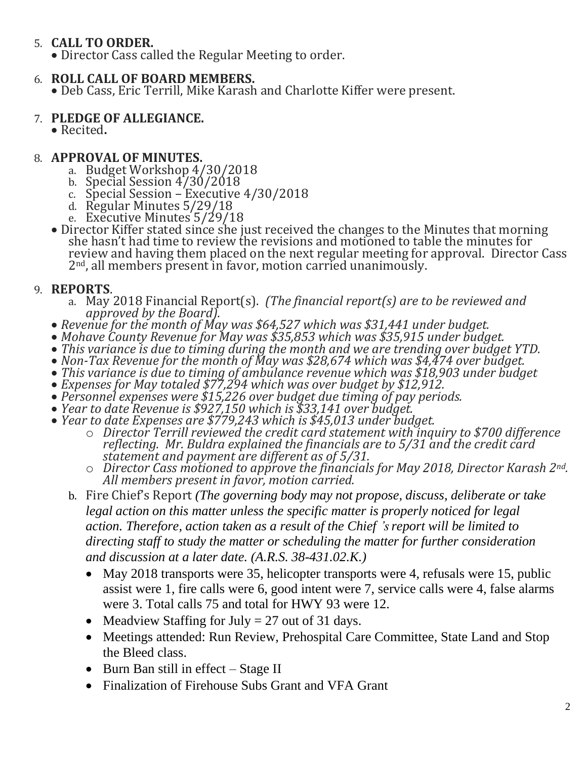## 5. **CALL TO ORDER.**

• Director Cass called the Regular Meeting to order.

### 6. **ROLL CALL OF BOARD MEMBERS.**

• Deb Cass, Eric Terrill, Mike Karash and Charlotte Kiffer were present.

#### 7. **PLEDGE OF ALLEGIANCE.**

• Recited**.** 

### 8. **APPROVAL OF MINUTES.**

- a. Budget Workshop 4/30/2018
- b. Special Session 4/30/2018
- c. Special Session Executive 4/30/2018
- d. Regular Minutes 5/29/18
- e. Executive Minutes 5/29/18
- Director Kiffer stated since she just received the changes to the Minutes that morning she hasn't had time to review the revisions and motioned to table the minutes for review and having them placed on the next regular meeting for approval. Director Cass 2<sup>nd</sup>, all members present in favor, motion carried unanimously.

### 9. **REPORTS**.

- a. May 2018 Financial Report(s). *(The financial report(s) are to be reviewed and approved by the Board).*
- *Revenue for the month of May was \$64,527 which was \$31,441 under budget.*
- *Mohave County Revenue for May was \$35,853 which was \$35,915 under budget.*
- *This variance is due to timing during the month and we are trending over budget YTD.*
- *Non-Tax Revenue for the month of May was \$28,674 which was \$4,474 over budget.*
- *This variance is due to timing of ambulance revenue which was \$18,903 under budget*
- *Expenses for May totaled \$77,294 which was over budget by \$12,912.*
- *Personnel expenses were \$15,226 over budget due timing of pay periods.*
- *Year to date Revenue is \$927,150 which is \$33,141 over budget.*
- *Year to date Expenses are \$779,243 which is \$45,013 under budget.*
	- o *Director Terrill reviewed the credit card statement with inquiry to \$700 difference reflecting. Mr. Buldra explained the financials are to 5/31 and the credit card statement and payment are different as of 5/31.*
	- o *Director Cass motioned to approve the financials for May 2018, Director Karash 2nd. All members present in favor, motion carried.*
	- b. Fire Chief's Report *(The governing body may not propose, discuss, deliberate or take legal action on this matter unless the specific matter is properly noticed for legal action. Therefore, action taken as a result of the Chief 's report will be limited to directing staff to study the matter or scheduling the matter for further consideration and discussion at a later date. (A.R.S. 38-431.02.K.)*
		- May 2018 transports were 35, helicopter transports were 4, refusals were 15, public assist were 1, fire calls were 6, good intent were 7, service calls were 4, false alarms were 3. Total calls 75 and total for HWY 93 were 12.
		- Meadview Staffing for July  $= 27$  out of 31 days.
		- Meetings attended: Run Review, Prehospital Care Committee, State Land and Stop the Bleed class.
		- Burn Ban still in effect Stage II
		- Finalization of Firehouse Subs Grant and VFA Grant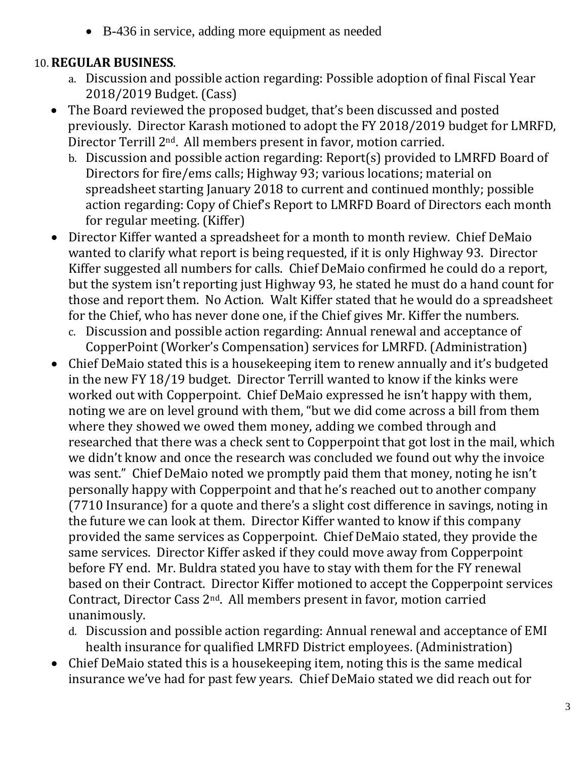• B-436 in service, adding more equipment as needed

## 10. **REGULAR BUSINESS**.

- a. Discussion and possible action regarding: Possible adoption of final Fiscal Year 2018/2019 Budget. (Cass)
- The Board reviewed the proposed budget, that's been discussed and posted previously. Director Karash motioned to adopt the FY 2018/2019 budget for LMRFD, Director Terrill 2nd. All members present in favor, motion carried.
	- b. Discussion and possible action regarding: Report(s) provided to LMRFD Board of Directors for fire/ems calls; Highway 93; various locations; material on spreadsheet starting January 2018 to current and continued monthly; possible action regarding: Copy of Chief's Report to LMRFD Board of Directors each month for regular meeting. (Kiffer)
- Director Kiffer wanted a spreadsheet for a month to month review. Chief DeMaio wanted to clarify what report is being requested, if it is only Highway 93. Director Kiffer suggested all numbers for calls. Chief DeMaio confirmed he could do a report, but the system isn't reporting just Highway 93, he stated he must do a hand count for those and report them. No Action. Walt Kiffer stated that he would do a spreadsheet for the Chief, who has never done one, if the Chief gives Mr. Kiffer the numbers.
	- c. Discussion and possible action regarding: Annual renewal and acceptance of CopperPoint (Worker's Compensation) services for LMRFD. (Administration)
- Chief DeMaio stated this is a housekeeping item to renew annually and it's budgeted in the new FY 18/19 budget. Director Terrill wanted to know if the kinks were worked out with Copperpoint. Chief DeMaio expressed he isn't happy with them, noting we are on level ground with them, "but we did come across a bill from them where they showed we owed them money, adding we combed through and researched that there was a check sent to Copperpoint that got lost in the mail, which we didn't know and once the research was concluded we found out why the invoice was sent." Chief DeMaio noted we promptly paid them that money, noting he isn't personally happy with Copperpoint and that he's reached out to another company (7710 Insurance) for a quote and there's a slight cost difference in savings, noting in the future we can look at them. Director Kiffer wanted to know if this company provided the same services as Copperpoint. Chief DeMaio stated, they provide the same services. Director Kiffer asked if they could move away from Copperpoint before FY end. Mr. Buldra stated you have to stay with them for the FY renewal based on their Contract. Director Kiffer motioned to accept the Copperpoint services Contract, Director Cass 2nd. All members present in favor, motion carried unanimously.
	- d. Discussion and possible action regarding: Annual renewal and acceptance of EMI health insurance for qualified LMRFD District employees. (Administration)
- Chief DeMaio stated this is a housekeeping item, noting this is the same medical insurance we've had for past few years. Chief DeMaio stated we did reach out for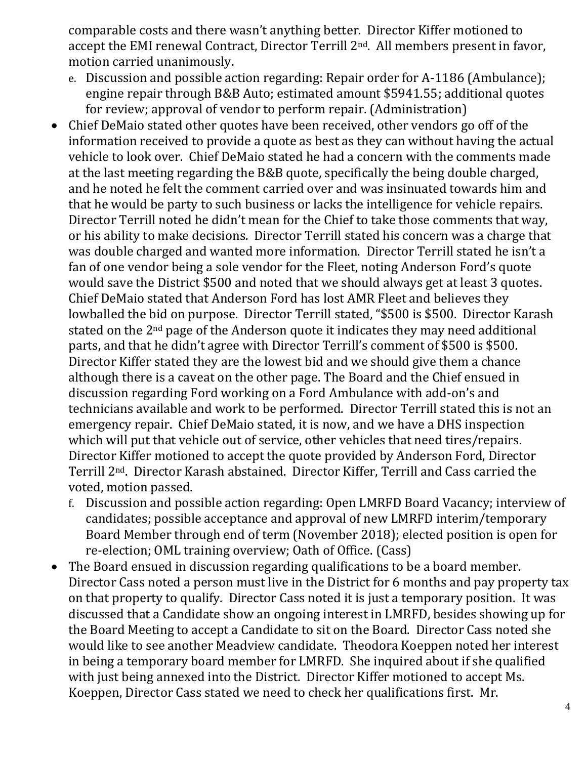comparable costs and there wasn't anything better. Director Kiffer motioned to accept the EMI renewal Contract, Director Terrill 2<sup>nd</sup>. All members present in favor, motion carried unanimously.

- e. Discussion and possible action regarding: Repair order for A-1186 (Ambulance); engine repair through B&B Auto; estimated amount \$5941.55; additional quotes for review; approval of vendor to perform repair. (Administration)
- Chief DeMaio stated other quotes have been received, other vendors go off of the information received to provide a quote as best as they can without having the actual vehicle to look over. Chief DeMaio stated he had a concern with the comments made at the last meeting regarding the B&B quote, specifically the being double charged, and he noted he felt the comment carried over and was insinuated towards him and that he would be party to such business or lacks the intelligence for vehicle repairs. Director Terrill noted he didn't mean for the Chief to take those comments that way, or his ability to make decisions. Director Terrill stated his concern was a charge that was double charged and wanted more information. Director Terrill stated he isn't a fan of one vendor being a sole vendor for the Fleet, noting Anderson Ford's quote would save the District \$500 and noted that we should always get at least 3 quotes. Chief DeMaio stated that Anderson Ford has lost AMR Fleet and believes they lowballed the bid on purpose. Director Terrill stated, "\$500 is \$500. Director Karash stated on the 2<sup>nd</sup> page of the Anderson quote it indicates they may need additional parts, and that he didn't agree with Director Terrill's comment of \$500 is \$500. Director Kiffer stated they are the lowest bid and we should give them a chance although there is a caveat on the other page. The Board and the Chief ensued in discussion regarding Ford working on a Ford Ambulance with add-on's and technicians available and work to be performed. Director Terrill stated this is not an emergency repair. Chief DeMaio stated, it is now, and we have a DHS inspection which will put that vehicle out of service, other vehicles that need tires/repairs. Director Kiffer motioned to accept the quote provided by Anderson Ford, Director Terrill 2nd. Director Karash abstained. Director Kiffer, Terrill and Cass carried the voted, motion passed.
	- f. Discussion and possible action regarding: Open LMRFD Board Vacancy; interview of candidates; possible acceptance and approval of new LMRFD interim/temporary Board Member through end of term (November 2018); elected position is open for re-election; OML training overview; Oath of Office. (Cass)
- The Board ensued in discussion regarding qualifications to be a board member. Director Cass noted a person must live in the District for 6 months and pay property tax on that property to qualify. Director Cass noted it is just a temporary position. It was discussed that a Candidate show an ongoing interest in LMRFD, besides showing up for the Board Meeting to accept a Candidate to sit on the Board. Director Cass noted she would like to see another Meadview candidate. Theodora Koeppen noted her interest in being a temporary board member for LMRFD. She inquired about if she qualified with just being annexed into the District. Director Kiffer motioned to accept Ms. Koeppen, Director Cass stated we need to check her qualifications first. Mr.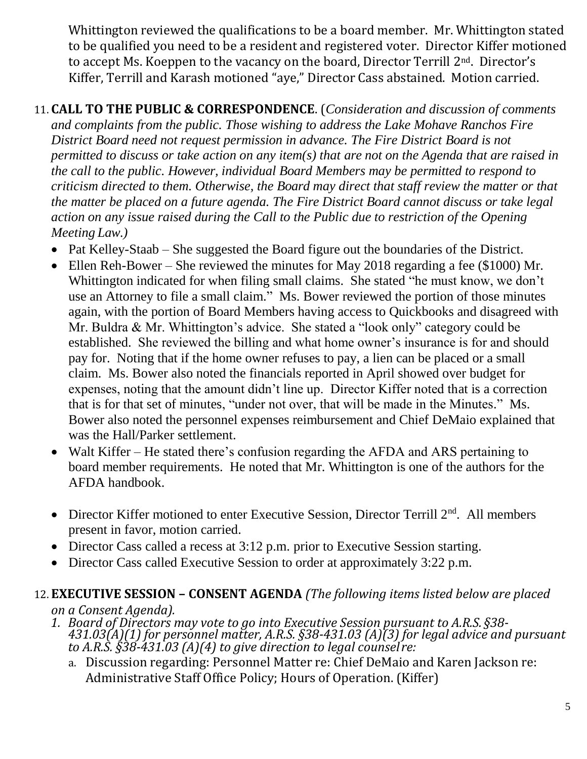Whittington reviewed the qualifications to be a board member. Mr. Whittington stated to be qualified you need to be a resident and registered voter. Director Kiffer motioned to accept Ms. Koeppen to the vacancy on the board, Director Terrill 2nd. Director's Kiffer, Terrill and Karash motioned "aye," Director Cass abstained. Motion carried.

11. **CALL TO THE PUBLIC & CORRESPONDENCE**. (*Consideration and discussion of comments and complaints from the public. Those wishing to address the Lake Mohave Ranchos Fire District Board need not request permission in advance. The Fire District Board is not permitted to discuss or take action on any item(s) that are not on the Agenda that are raised in the call to the public. However, individual Board Members may be permitted to respond to criticism directed to them. Otherwise, the Board may direct that staff review the matter or that the matter be placed on a future agenda. The Fire District Board cannot discuss or take legal action on any issue raised during the Call to the Public due to restriction of the Opening Meeting Law.)*

- Pat Kelley-Staab She suggested the Board figure out the boundaries of the District.
- Ellen Reh-Bower She reviewed the minutes for May 2018 regarding a fee (\$1000) Mr. Whittington indicated for when filing small claims. She stated "he must know, we don't use an Attorney to file a small claim." Ms. Bower reviewed the portion of those minutes again, with the portion of Board Members having access to Quickbooks and disagreed with Mr. Buldra & Mr. Whittington's advice. She stated a "look only" category could be established. She reviewed the billing and what home owner's insurance is for and should pay for. Noting that if the home owner refuses to pay, a lien can be placed or a small claim. Ms. Bower also noted the financials reported in April showed over budget for expenses, noting that the amount didn't line up. Director Kiffer noted that is a correction that is for that set of minutes, "under not over, that will be made in the Minutes." Ms. Bower also noted the personnel expenses reimbursement and Chief DeMaio explained that was the Hall/Parker settlement.
- Walt Kiffer He stated there's confusion regarding the AFDA and ARS pertaining to board member requirements. He noted that Mr. Whittington is one of the authors for the AFDA handbook.
- Director Kiffer motioned to enter Executive Session, Director Terrill  $2<sup>nd</sup>$ . All members present in favor, motion carried.
- Director Cass called a recess at 3:12 p.m. prior to Executive Session starting.
- Director Cass called Executive Session to order at approximately 3:22 p.m.

# 12. **EXECUTIVE SESSION – CONSENT AGENDA** *(The following items listed below are placed*

*on a Consent Agenda).*

- *1. Board of Directors may vote to go into Executive Session pursuant to A.R.S. §38- 431.03(A)(1) for personnel matter, A.R.S. §38-431.03 (A)(3) for legal advice and pursuant to A.R.S. §38-431.03 (A)(4) to give direction to legal counsel re:*
	- a. Discussion regarding: Personnel Matter re: Chief DeMaio and Karen Jackson re: Administrative Staff Office Policy; Hours of Operation. (Kiffer)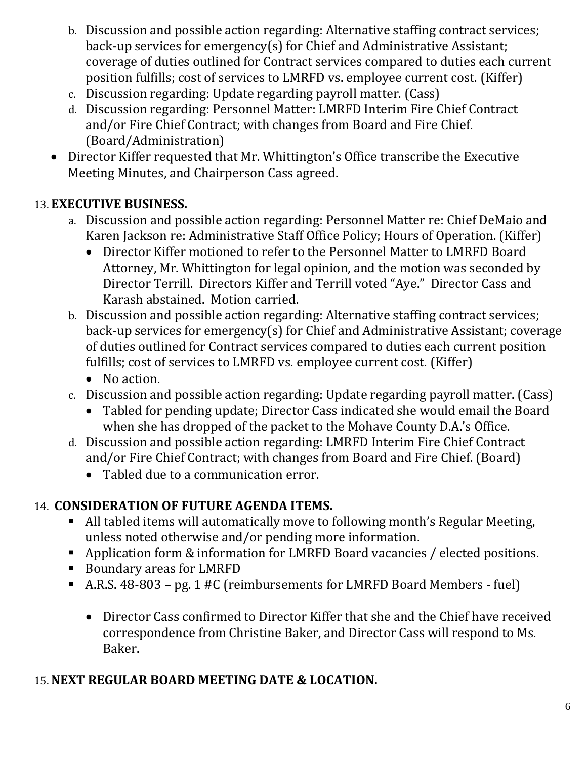- b. Discussion and possible action regarding: Alternative staffing contract services; back-up services for emergency(s) for Chief and Administrative Assistant; coverage of duties outlined for Contract services compared to duties each current position fulfills; cost of services to LMRFD vs. employee current cost. (Kiffer)
- c. Discussion regarding: Update regarding payroll matter. (Cass)
- d. Discussion regarding: Personnel Matter: LMRFD Interim Fire Chief Contract and/or Fire Chief Contract; with changes from Board and Fire Chief. (Board/Administration)
- Director Kiffer requested that Mr. Whittington's Office transcribe the Executive Meeting Minutes, and Chairperson Cass agreed.

# 13. **EXECUTIVE BUSINESS.**

- a. Discussion and possible action regarding: Personnel Matter re: Chief DeMaio and Karen Jackson re: Administrative Staff Office Policy; Hours of Operation. (Kiffer)
	- Director Kiffer motioned to refer to the Personnel Matter to LMRFD Board Attorney, Mr. Whittington for legal opinion, and the motion was seconded by Director Terrill. Directors Kiffer and Terrill voted "Aye." Director Cass and Karash abstained. Motion carried.
- b. Discussion and possible action regarding: Alternative staffing contract services; back-up services for emergency(s) for Chief and Administrative Assistant; coverage of duties outlined for Contract services compared to duties each current position fulfills; cost of services to LMRFD vs. employee current cost. (Kiffer)
	- No action.
- c. Discussion and possible action regarding: Update regarding payroll matter. (Cass)
	- Tabled for pending update; Director Cass indicated she would email the Board when she has dropped of the packet to the Mohave County D.A.'s Office.
- d. Discussion and possible action regarding: LMRFD Interim Fire Chief Contract and/or Fire Chief Contract; with changes from Board and Fire Chief. (Board)
	- Tabled due to a communication error.

# 14. **CONSIDERATION OF FUTURE AGENDA ITEMS.**

- All tabled items will automatically move to following month's Regular Meeting, unless noted otherwise and/or pending more information.
- Application form & information for LMRFD Board vacancies / elected positions.
- Boundary areas for LMRFD
- A.R.S. 48-803 pg. 1 #C (reimbursements for LMRFD Board Members fuel)
	- Director Cass confirmed to Director Kiffer that she and the Chief have received correspondence from Christine Baker, and Director Cass will respond to Ms. Baker.

## 15.**NEXT REGULAR BOARD MEETING DATE & LOCATION.**